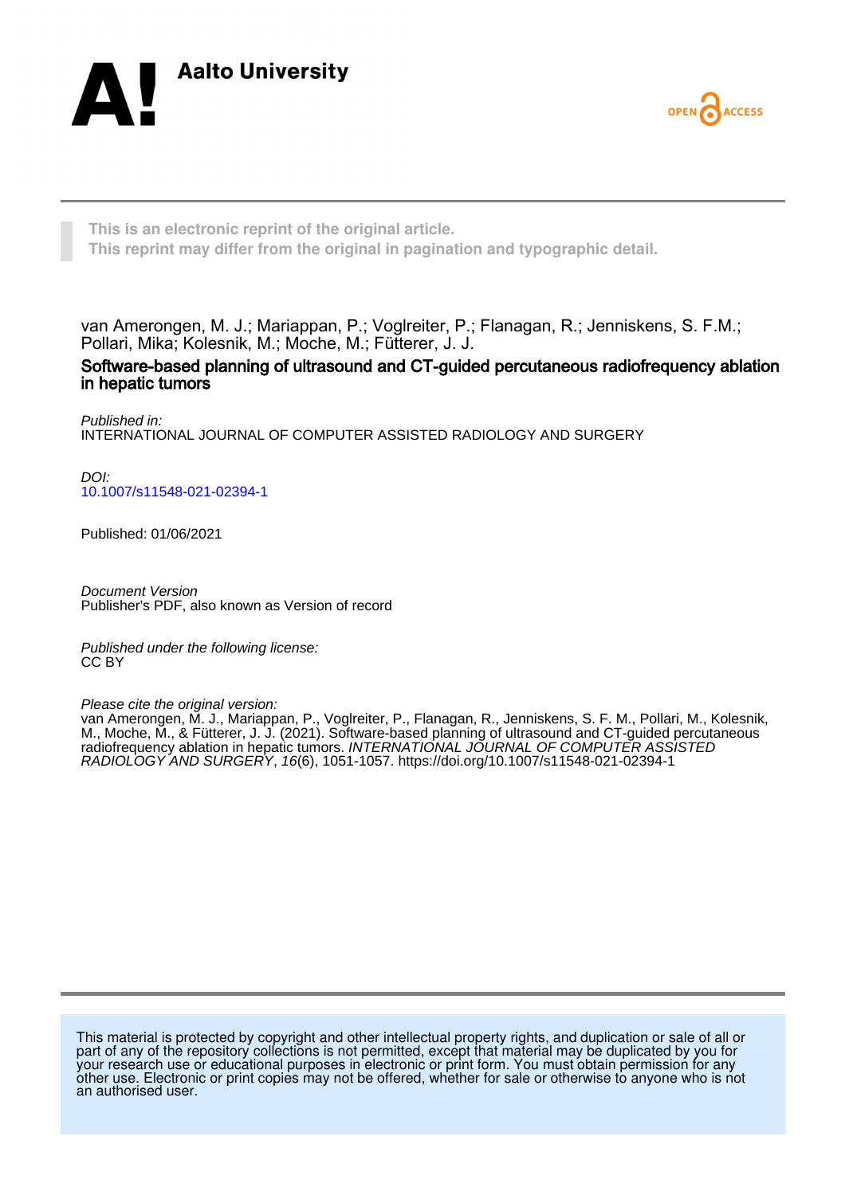



**This is an electronic reprint of the original article. This reprint may differ from the original in pagination and typographic detail.**

van Amerongen, M. J.; Mariappan, P.; Voglreiter, P.; Flanagan, R.; Jenniskens, S. F.M.; Pollari, Mika; Kolesnik, M.; Moche, M.; Fütterer, J. J.

Software-based planning of ultrasound and CT-guided percutaneous radiofrequency ablation in hepatic tumors

Published in: INTERNATIONAL JOURNAL OF COMPUTER ASSISTED RADIOLOGY AND SURGERY

DOI: [10.1007/s11548-021-02394-1](https://doi.org/10.1007/s11548-021-02394-1)

Published: 01/06/2021

Document Version Publisher's PDF, also known as Version of record

Published under the following license: CC BY

Please cite the original version:

van Amerongen, M. J., Mariappan, P., Voglreiter, P., Flanagan, R., Jenniskens, S. F. M., Pollari, M., Kolesnik, M., Moche, M., & Fütterer, J. J. (2021). Software-based planning of ultrasound and CT-guided percutaneous radiofrequency ablation in hepatic tumors. *INTERNATIONAL JOURNAL OF COMPUTER ASSISTED* RADIOLOGY AND SURGERY, 16(6), 1051-1057.<https://doi.org/10.1007/s11548-021-02394-1>

This material is protected by copyright and other intellectual property rights, and duplication or sale of all or part of any of the repository collections is not permitted, except that material may be duplicated by you for your research use or educational purposes in electronic or print form. You must obtain permission for any other use. Electronic or print copies may not be offered, whether for sale or otherwise to anyone who is not an authorised user.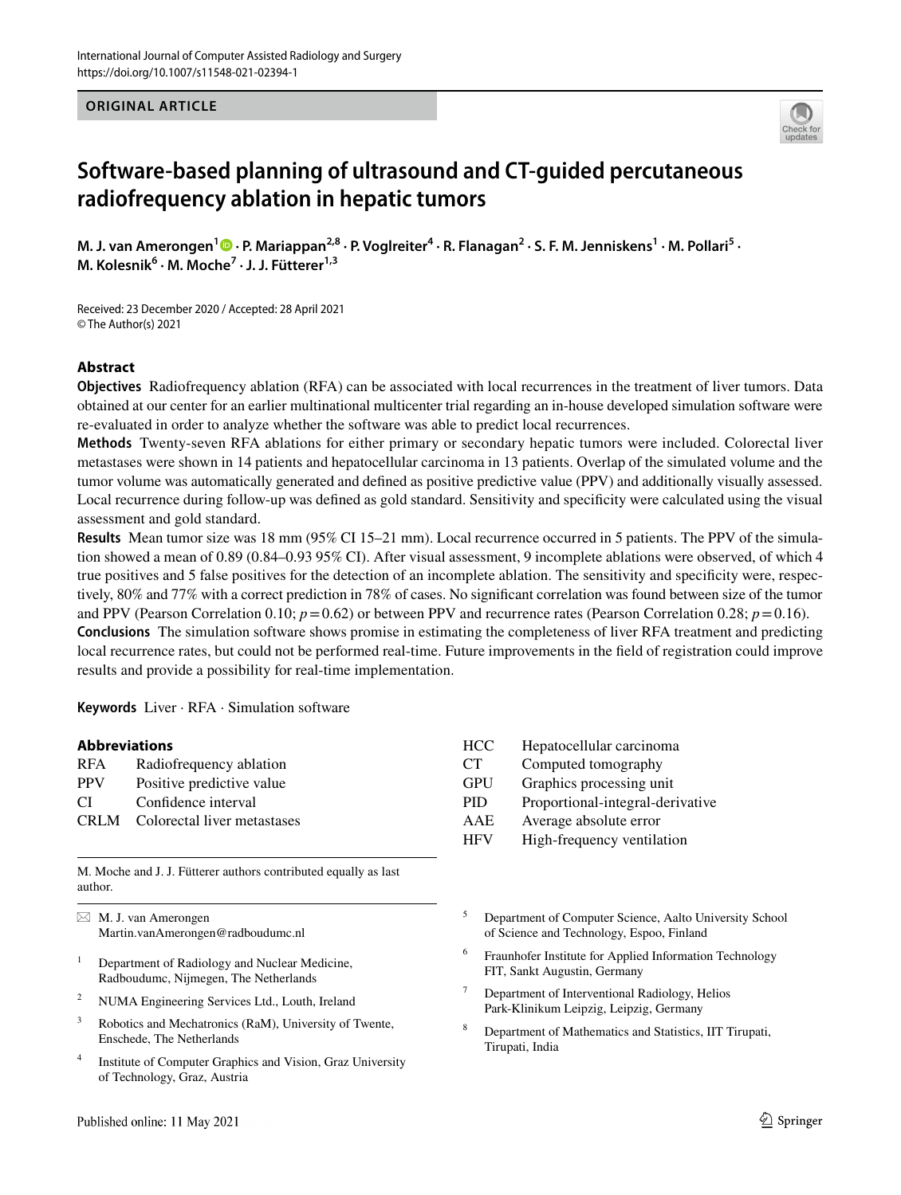**ORIGINAL ARTICLE**



# **Software‑based planning of ultrasound and CT‑guided percutaneous radiofrequency ablation in hepatic tumors**

M. J. van Amerongen<sup>1</sup> D [·](http://orcid.org/0000-0001-5815-0392) P. Mariappan<sup>2,8</sup> · P. Voglreiter<sup>4</sup> · R. Flanagan<sup>2</sup> · S. F. M. Jenniskens<sup>1</sup> · M. Pollari<sup>5</sup> · **M. Kolesnik6 · M. Moche7 · J. J. Fütterer1,3**

Received: 23 December 2020 / Accepted: 28 April 2021 © The Author(s) 2021

## **Abstract**

**Objectives** Radiofrequency ablation (RFA) can be associated with local recurrences in the treatment of liver tumors. Data obtained at our center for an earlier multinational multicenter trial regarding an in-house developed simulation software were re-evaluated in order to analyze whether the software was able to predict local recurrences.

**Methods** Twenty-seven RFA ablations for either primary or secondary hepatic tumors were included. Colorectal liver metastases were shown in 14 patients and hepatocellular carcinoma in 13 patients. Overlap of the simulated volume and the tumor volume was automatically generated and defned as positive predictive value (PPV) and additionally visually assessed. Local recurrence during follow-up was defned as gold standard. Sensitivity and specifcity were calculated using the visual assessment and gold standard.

**Results** Mean tumor size was 18 mm (95% CI 15–21 mm). Local recurrence occurred in 5 patients. The PPV of the simulation showed a mean of 0.89 (0.84–0.93 95% CI). After visual assessment, 9 incomplete ablations were observed, of which 4 true positives and 5 false positives for the detection of an incomplete ablation. The sensitivity and specifcity were, respectively, 80% and 77% with a correct prediction in 78% of cases. No signifcant correlation was found between size of the tumor and PPV (Pearson Correlation 0.10;  $p=0.62$ ) or between PPV and recurrence rates (Pearson Correlation 0.28;  $p=0.16$ ). **Conclusions** The simulation software shows promise in estimating the completeness of liver RFA treatment and predicting local recurrence rates, but could not be performed real-time. Future improvements in the feld of registration could improve results and provide a possibility for real-time implementation.

**Keywords** Liver · RFA · Simulation software

| <b>Abbreviations</b> |                             | HCC        | Hepatocellular carcinoma         |
|----------------------|-----------------------------|------------|----------------------------------|
| <b>RFA</b>           | Radiofrequency ablation     | CT.        | Computed tomography              |
| <b>PPV</b>           | Positive predictive value   | <b>GPU</b> | Graphics processing unit         |
| CI                   | Confidence interval         | PID.       | Proportional-integral-derivative |
| <b>CRLM</b>          | Colorectal liver metastases | AAE        | Average absolute error           |
|                      |                             | <b>HFV</b> | High-frequency ventilation       |

M. Moche and J. J. Fütterer authors contributed equally as last author.

 $\boxtimes$  M. J. van Amerongen Martin.vanAmerongen@radboudumc.nl

- <sup>1</sup> Department of Radiology and Nuclear Medicine, Radboudumc, Nijmegen, The Netherlands
- <sup>2</sup> NUMA Engineering Services Ltd., Louth, Ireland
- <sup>3</sup> Robotics and Mechatronics (RaM), University of Twente, Enschede, The Netherlands
- <sup>4</sup> Institute of Computer Graphics and Vision, Graz University of Technology, Graz, Austria

<sup>5</sup> Department of Computer Science, Aalto University School of Science and Technology, Espoo, Finland

- <sup>6</sup> Fraunhofer Institute for Applied Information Technology FIT, Sankt Augustin, Germany
- <sup>7</sup> Department of Interventional Radiology, Helios Park-Klinikum Leipzig, Leipzig, Germany
- <sup>8</sup> Department of Mathematics and Statistics, IIT Tirupati, Tirupati, India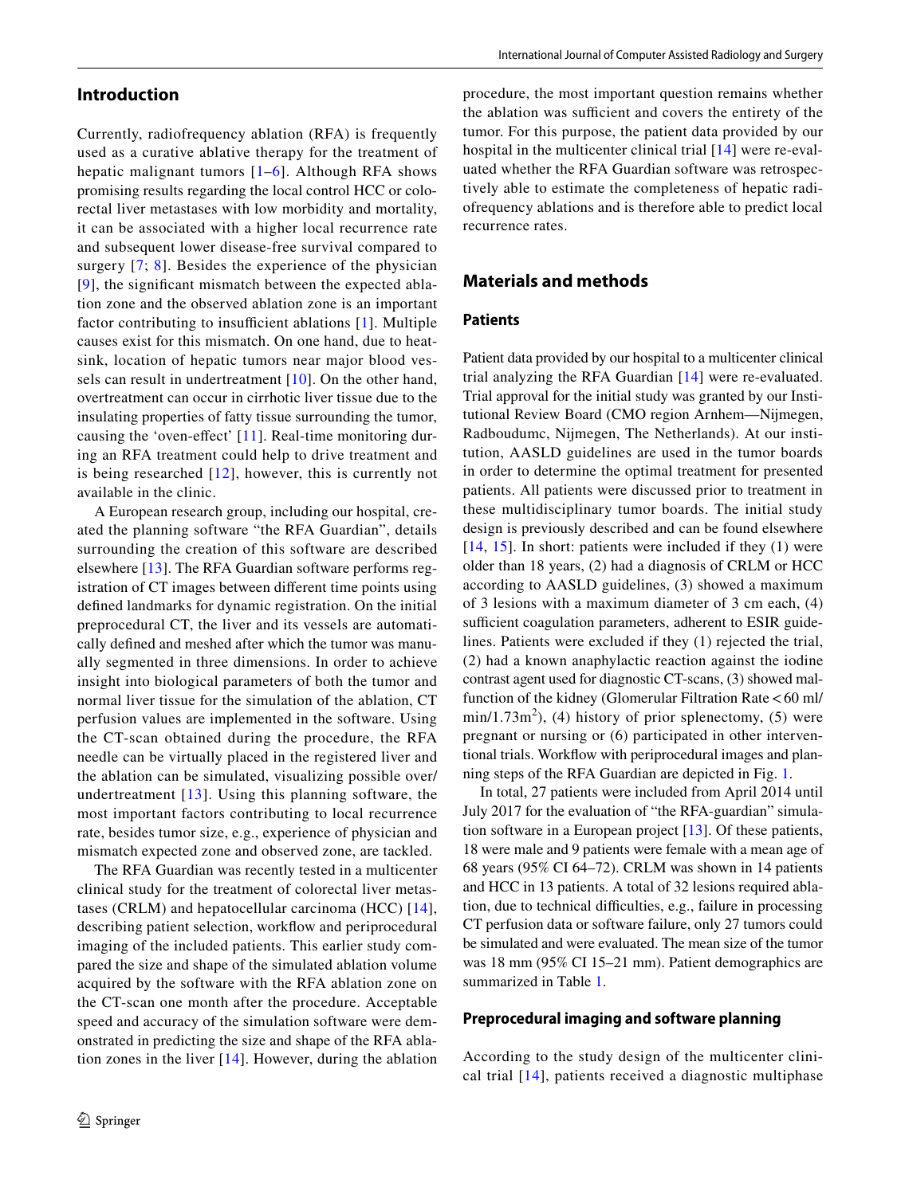# **Introduction**

Currently, radiofrequency ablation (RFA) is frequently used as a curative ablative therapy for the treatment of hepatic malignant tumors  $[1-6]$  $[1-6]$  $[1-6]$ . Although RFA shows promising results regarding the local control HCC or colorectal liver metastases with low morbidity and mortality, it can be associated with a higher local recurrence rate and subsequent lower disease-free survival compared to surgery [[7](#page-7-1); [8](#page-7-2)]. Besides the experience of the physician [[9\]](#page-7-3), the signifcant mismatch between the expected ablation zone and the observed ablation zone is an important factor contributing to insufficient ablations  $[1]$  $[1]$ . Multiple causes exist for this mismatch. On one hand, due to heatsink, location of hepatic tumors near major blood ves-sels can result in undertreatment [[10\]](#page-7-4). On the other hand, overtreatment can occur in cirrhotic liver tissue due to the insulating properties of fatty tissue surrounding the tumor, causing the 'oven-effect'  $[11]$ . Real-time monitoring during an RFA treatment could help to drive treatment and is being researched [[12](#page-7-6)], however, this is currently not available in the clinic.

A European research group, including our hospital, created the planning software "the RFA Guardian", details surrounding the creation of this software are described elsewhere [\[13\]](#page-7-7). The RFA Guardian software performs registration of CT images between diferent time points using defned landmarks for dynamic registration. On the initial preprocedural CT, the liver and its vessels are automatically defned and meshed after which the tumor was manually segmented in three dimensions. In order to achieve insight into biological parameters of both the tumor and normal liver tissue for the simulation of the ablation, CT perfusion values are implemented in the software. Using the CT-scan obtained during the procedure, the RFA needle can be virtually placed in the registered liver and the ablation can be simulated, visualizing possible over/ undertreatment [\[13](#page-7-7)]. Using this planning software, the most important factors contributing to local recurrence rate, besides tumor size, e.g., experience of physician and mismatch expected zone and observed zone, are tackled.

The RFA Guardian was recently tested in a multicenter clinical study for the treatment of colorectal liver metastases (CRLM) and hepatocellular carcinoma (HCC) [[14](#page-7-8)], describing patient selection, workfow and periprocedural imaging of the included patients. This earlier study compared the size and shape of the simulated ablation volume acquired by the software with the RFA ablation zone on the CT-scan one month after the procedure. Acceptable speed and accuracy of the simulation software were demonstrated in predicting the size and shape of the RFA ablation zones in the liver [\[14\]](#page-7-8). However, during the ablation procedure, the most important question remains whether the ablation was sufficient and covers the entirety of the tumor. For this purpose, the patient data provided by our hospital in the multicenter clinical trial [[14\]](#page-7-8) were re-evaluated whether the RFA Guardian software was retrospectively able to estimate the completeness of hepatic radiofrequency ablations and is therefore able to predict local recurrence rates.

# **Materials and methods**

## **Patients**

Patient data provided by our hospital to a multicenter clinical trial analyzing the RFA Guardian [[14](#page-7-8)] were re-evaluated. Trial approval for the initial study was granted by our Institutional Review Board (CMO region Arnhem—Nijmegen, Radboudumc, Nijmegen, The Netherlands). At our institution, AASLD guidelines are used in the tumor boards in order to determine the optimal treatment for presented patients. All patients were discussed prior to treatment in these multidisciplinary tumor boards. The initial study design is previously described and can be found elsewhere [[14,](#page-7-8) [15\]](#page-7-9). In short: patients were included if they (1) were older than 18 years, (2) had a diagnosis of CRLM or HCC according to AASLD guidelines, (3) showed a maximum of 3 lesions with a maximum diameter of 3 cm each, (4) sufficient coagulation parameters, adherent to ESIR guidelines. Patients were excluded if they (1) rejected the trial, (2) had a known anaphylactic reaction against the iodine contrast agent used for diagnostic CT-scans, (3) showed malfunction of the kidney (Glomerular Filtration Rate < 60 ml/  $min/1.73m<sup>2</sup>$ ), (4) history of prior splenectomy, (5) were pregnant or nursing or (6) participated in other interventional trials. Workfow with periprocedural images and planning steps of the RFA Guardian are depicted in Fig. [1.](#page-3-0)

In total, 27 patients were included from April 2014 until July 2017 for the evaluation of "the RFA-guardian" simulation software in a European project [[13\]](#page-7-7). Of these patients, 18 were male and 9 patients were female with a mean age of 68 years (95% CI 64–72). CRLM was shown in 14 patients and HCC in 13 patients. A total of 32 lesions required ablation, due to technical difficulties, e.g., failure in processing CT perfusion data or software failure, only 27 tumors could be simulated and were evaluated. The mean size of the tumor was 18 mm (95% CI 15–21 mm). Patient demographics are summarized in Table [1.](#page-3-1)

#### **Preprocedural imaging and software planning**

According to the study design of the multicenter clinical trial [\[14](#page-7-8)], patients received a diagnostic multiphase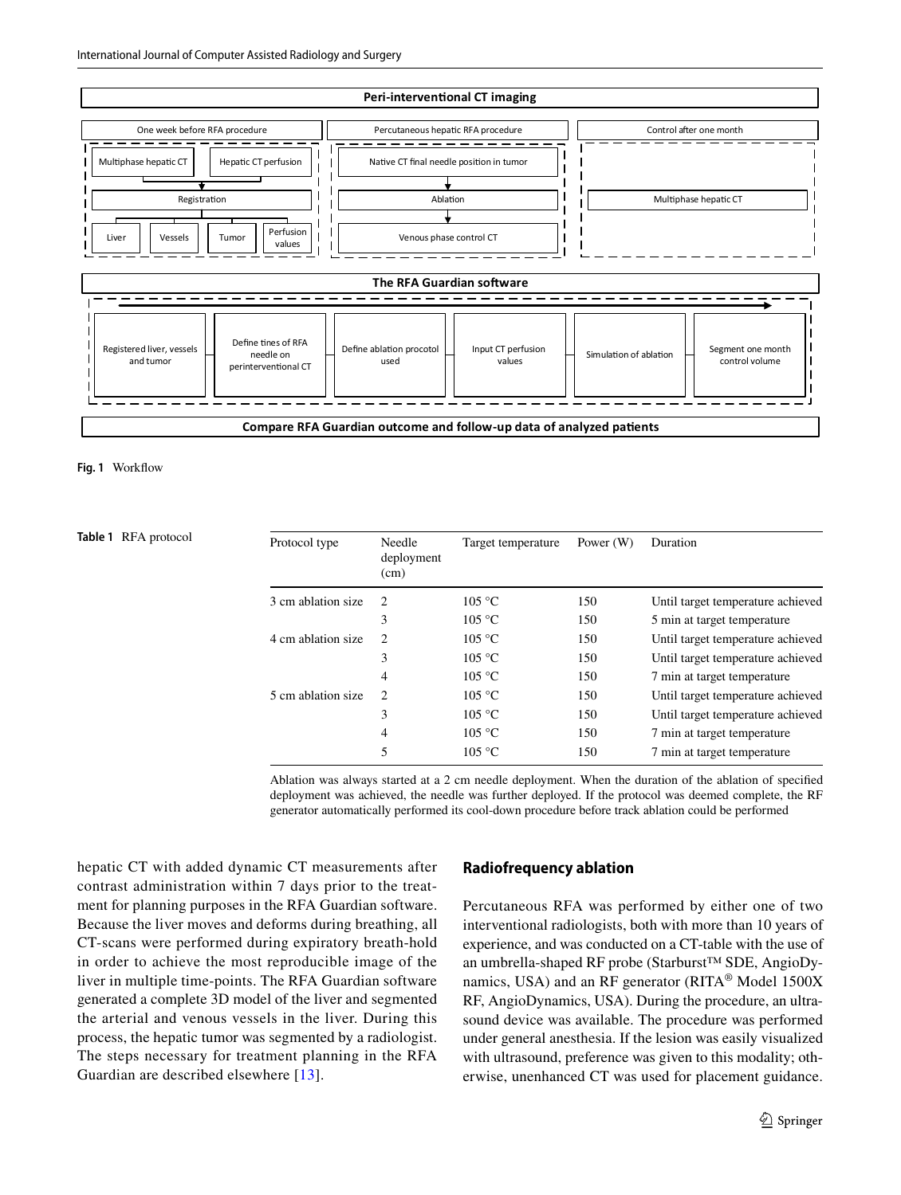

#### <span id="page-3-0"></span>**Fig. 1** Workfow

<span id="page-3-1"></span>**Table 1** RFA protocol

| $\mathcal{L}$  | 105 °C | 150 | Until target temperature achieved |
|----------------|--------|-----|-----------------------------------|
| 3              | 105 °C | 150 | 5 min at target temperature       |
| $\overline{2}$ | 105 °C | 150 | Until target temperature achieved |
| 3              | 105 °C | 150 | Until target temperature achieved |
| 4              | 105 °C | 150 | 7 min at target temperature       |
| $\overline{c}$ | 105 °C | 150 | Until target temperature achieved |
| 3              | 105 °C | 150 | Until target temperature achieved |
| $\overline{4}$ | 105 °C | 150 | 7 min at target temperature       |
| 5              | 105 °C | 150 | 7 min at target temperature       |
|                |        |     |                                   |

Ablation was always started at a 2 cm needle deployment. When the duration of the ablation of specifed deployment was achieved, the needle was further deployed. If the protocol was deemed complete, the RF generator automatically performed its cool-down procedure before track ablation could be performed

hepatic CT with added dynamic CT measurements after contrast administration within 7 days prior to the treatment for planning purposes in the RFA Guardian software. Because the liver moves and deforms during breathing, all CT-scans were performed during expiratory breath-hold in order to achieve the most reproducible image of the liver in multiple time-points. The RFA Guardian software generated a complete 3D model of the liver and segmented the arterial and venous vessels in the liver. During this process, the hepatic tumor was segmented by a radiologist. The steps necessary for treatment planning in the RFA Guardian are described elsewhere [[13](#page-7-7)].

## **Radiofrequency ablation**

Percutaneous RFA was performed by either one of two interventional radiologists, both with more than 10 years of experience, and was conducted on a CT-table with the use of an umbrella-shaped RF probe (Starburst™ SDE, AngioDynamics, USA) and an RF generator (RITA® Model 1500X RF, AngioDynamics, USA). During the procedure, an ultrasound device was available. The procedure was performed under general anesthesia. If the lesion was easily visualized with ultrasound, preference was given to this modality; otherwise, unenhanced CT was used for placement guidance.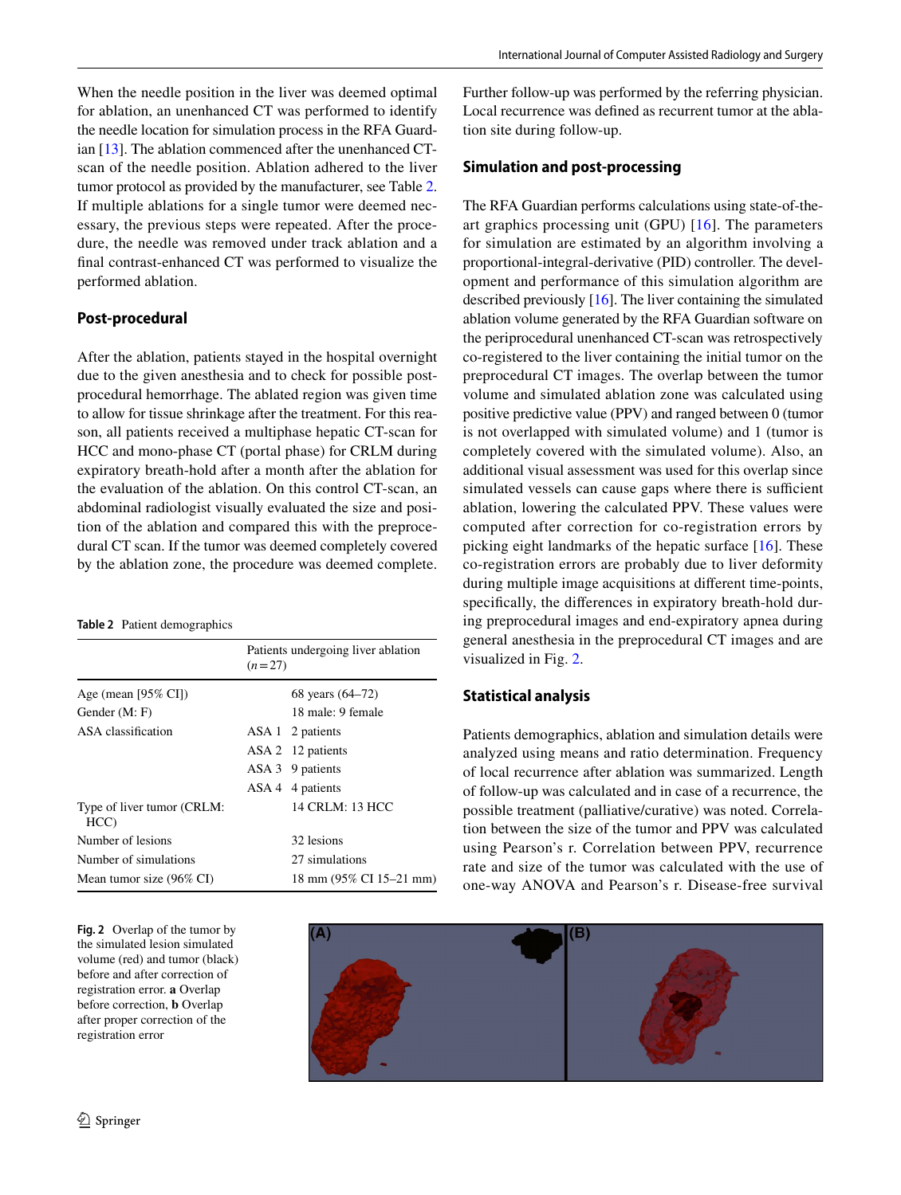When the needle position in the liver was deemed optimal for ablation, an unenhanced CT was performed to identify the needle location for simulation process in the RFA Guardian [[13\]](#page-7-7). The ablation commenced after the unenhanced CTscan of the needle position. Ablation adhered to the liver tumor protocol as provided by the manufacturer, see Table [2.](#page-4-0) If multiple ablations for a single tumor were deemed necessary, the previous steps were repeated. After the procedure, the needle was removed under track ablation and a fnal contrast-enhanced CT was performed to visualize the performed ablation.

## **Post‑procedural**

After the ablation, patients stayed in the hospital overnight due to the given anesthesia and to check for possible postprocedural hemorrhage. The ablated region was given time to allow for tissue shrinkage after the treatment. For this reason, all patients received a multiphase hepatic CT-scan for HCC and mono-phase CT (portal phase) for CRLM during expiratory breath-hold after a month after the ablation for the evaluation of the ablation. On this control CT-scan, an abdominal radiologist visually evaluated the size and position of the ablation and compared this with the preprocedural CT scan. If the tumor was deemed completely covered by the ablation zone, the procedure was deemed complete.

#### <span id="page-4-0"></span>**Table 2** Patient demographics

|                                   | Patients undergoing liver ablation<br>$(n=27)$ |                         |  |
|-----------------------------------|------------------------------------------------|-------------------------|--|
| Age (mean $[95\% \text{ CI}]$ )   |                                                | 68 years (64–72)        |  |
| Gender (M: F)                     |                                                | 18 male: 9 female       |  |
| ASA classification                |                                                | ASA 1 2 patients        |  |
|                                   |                                                | ASA 2 12 patients       |  |
|                                   |                                                | ASA 3 9 patients        |  |
|                                   |                                                | ASA 4 4 patients        |  |
| Type of liver tumor (CRLM:<br>HCC |                                                | 14 CRLM: 13 HCC         |  |
| Number of lesions                 |                                                | 32 lesions              |  |
| Number of simulations             |                                                | 27 simulations          |  |
| Mean tumor size (96% CI)          |                                                | 18 mm (95% CI 15–21 mm) |  |

<span id="page-4-1"></span>**Fig. 2** Overlap of the tumor by the simulated lesion simulated volume (red) and tumor (black) before and after correction of registration error. **a** Overlap before correction, **b** Overlap after proper correction of the registration error

Further follow-up was performed by the referring physician. Local recurrence was defned as recurrent tumor at the ablation site during follow-up.

## **Simulation and post‑processing**

The RFA Guardian performs calculations using state-of-theart graphics processing unit (GPU) [[16](#page-7-10)]. The parameters for simulation are estimated by an algorithm involving a proportional-integral-derivative (PID) controller. The development and performance of this simulation algorithm are described previously [[16\]](#page-7-10). The liver containing the simulated ablation volume generated by the RFA Guardian software on the periprocedural unenhanced CT-scan was retrospectively co-registered to the liver containing the initial tumor on the preprocedural CT images. The overlap between the tumor volume and simulated ablation zone was calculated using positive predictive value (PPV) and ranged between 0 (tumor is not overlapped with simulated volume) and 1 (tumor is completely covered with the simulated volume). Also, an additional visual assessment was used for this overlap since simulated vessels can cause gaps where there is sufficient ablation, lowering the calculated PPV. These values were computed after correction for co-registration errors by picking eight landmarks of the hepatic surface [\[16](#page-7-10)]. These co-registration errors are probably due to liver deformity during multiple image acquisitions at diferent time-points, specifcally, the diferences in expiratory breath-hold during preprocedural images and end-expiratory apnea during general anesthesia in the preprocedural CT images and are visualized in Fig. [2](#page-4-1).

# **Statistical analysis**

Patients demographics, ablation and simulation details were analyzed using means and ratio determination. Frequency of local recurrence after ablation was summarized. Length of follow-up was calculated and in case of a recurrence, the possible treatment (palliative/curative) was noted. Correlation between the size of the tumor and PPV was calculated using Pearson's r. Correlation between PPV, recurrence rate and size of the tumor was calculated with the use of one-way ANOVA and Pearson's r. Disease-free survival

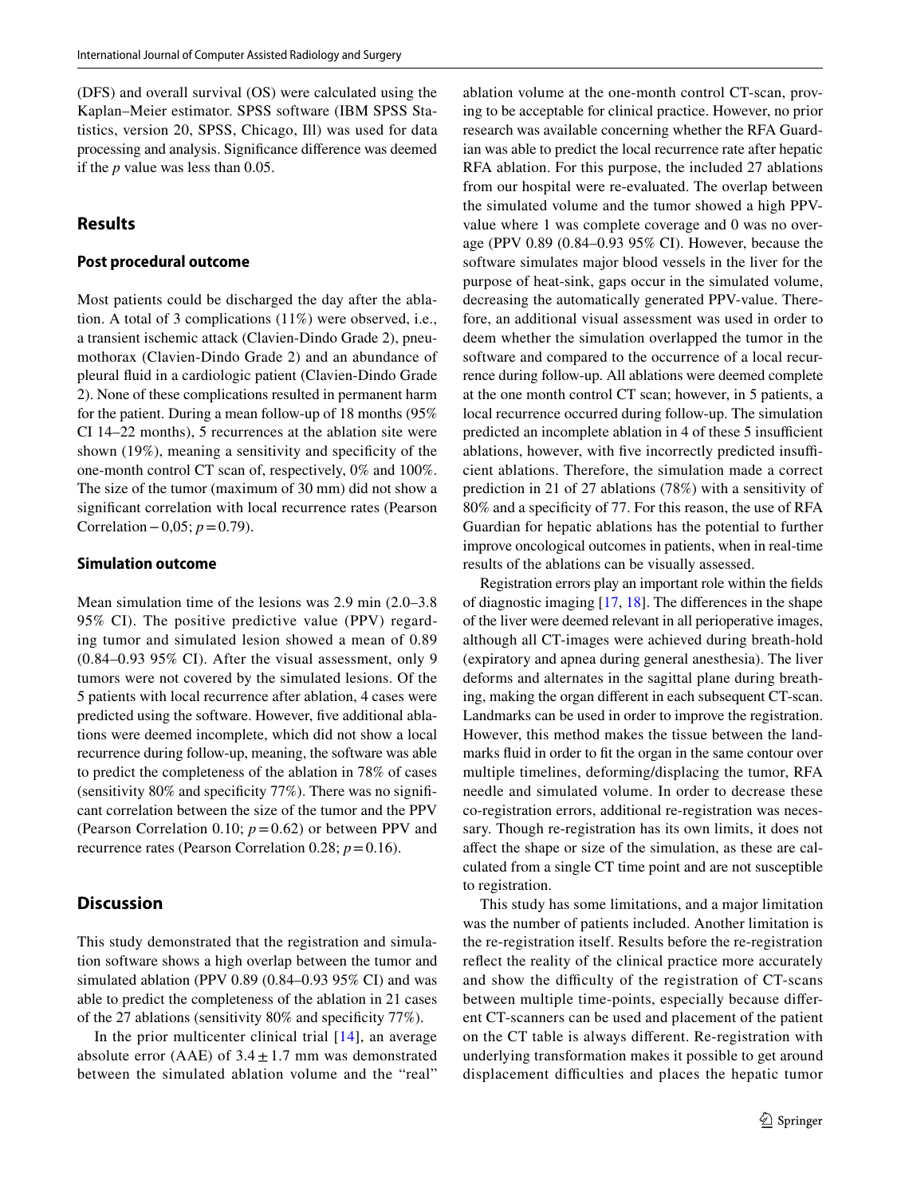(DFS) and overall survival (OS) were calculated using the Kaplan–Meier estimator. SPSS software (IBM SPSS Statistics, version 20, SPSS, Chicago, Ill) was used for data processing and analysis. Signifcance diference was deemed if the *p* value was less than 0.05.

# **Results**

## **Post procedural outcome**

Most patients could be discharged the day after the ablation. A total of 3 complications (11%) were observed, i.e., a transient ischemic attack (Clavien-Dindo Grade 2), pneumothorax (Clavien-Dindo Grade 2) and an abundance of pleural fuid in a cardiologic patient (Clavien-Dindo Grade 2). None of these complications resulted in permanent harm for the patient. During a mean follow-up of 18 months (95% CI 14–22 months), 5 recurrences at the ablation site were shown (19%), meaning a sensitivity and specifcity of the one-month control CT scan of, respectively, 0% and 100%. The size of the tumor (maximum of 30 mm) did not show a signifcant correlation with local recurrence rates (Pearson Correlation−0,05; *p*=0.79).

#### **Simulation outcome**

Mean simulation time of the lesions was 2.9 min (2.0–3.8 95% CI). The positive predictive value (PPV) regarding tumor and simulated lesion showed a mean of 0.89 (0.84–0.93 95% CI). After the visual assessment, only 9 tumors were not covered by the simulated lesions. Of the 5 patients with local recurrence after ablation, 4 cases were predicted using the software. However, fve additional ablations were deemed incomplete, which did not show a local recurrence during follow-up, meaning, the software was able to predict the completeness of the ablation in 78% of cases (sensitivity 80% and specifcity 77%). There was no signifcant correlation between the size of the tumor and the PPV (Pearson Correlation 0.10;  $p = 0.62$ ) or between PPV and recurrence rates (Pearson Correlation 0.28;  $p = 0.16$ ).

# **Discussion**

This study demonstrated that the registration and simulation software shows a high overlap between the tumor and simulated ablation (PPV 0.89 (0.84–0.93 95% CI) and was able to predict the completeness of the ablation in 21 cases of the 27 ablations (sensitivity 80% and specifcity 77%).

In the prior multicenter clinical trial  $[14]$ , an average absolute error (AAE) of  $3.4 \pm 1.7$  mm was demonstrated between the simulated ablation volume and the "real"

ablation volume at the one-month control CT-scan, proving to be acceptable for clinical practice. However, no prior research was available concerning whether the RFA Guardian was able to predict the local recurrence rate after hepatic RFA ablation. For this purpose, the included 27 ablations from our hospital were re-evaluated. The overlap between the simulated volume and the tumor showed a high PPVvalue where 1 was complete coverage and 0 was no overage (PPV 0.89 (0.84–0.93 95% CI). However, because the software simulates major blood vessels in the liver for the purpose of heat-sink, gaps occur in the simulated volume, decreasing the automatically generated PPV-value. Therefore, an additional visual assessment was used in order to deem whether the simulation overlapped the tumor in the software and compared to the occurrence of a local recurrence during follow-up. All ablations were deemed complete at the one month control CT scan; however, in 5 patients, a local recurrence occurred during follow-up. The simulation predicted an incomplete ablation in 4 of these 5 insufficient ablations, however, with five incorrectly predicted insufficient ablations. Therefore, the simulation made a correct prediction in 21 of 27 ablations (78%) with a sensitivity of 80% and a specifcity of 77. For this reason, the use of RFA Guardian for hepatic ablations has the potential to further improve oncological outcomes in patients, when in real-time results of the ablations can be visually assessed.

Registration errors play an important role within the felds of diagnostic imaging [\[17](#page-7-11), [18](#page-7-12)]. The diferences in the shape of the liver were deemed relevant in all perioperative images, although all CT-images were achieved during breath-hold (expiratory and apnea during general anesthesia). The liver deforms and alternates in the sagittal plane during breathing, making the organ diferent in each subsequent CT-scan. Landmarks can be used in order to improve the registration. However, this method makes the tissue between the landmarks fuid in order to ft the organ in the same contour over multiple timelines, deforming/displacing the tumor, RFA needle and simulated volume. In order to decrease these co-registration errors, additional re-registration was necessary. Though re-registration has its own limits, it does not afect the shape or size of the simulation, as these are calculated from a single CT time point and are not susceptible to registration.

This study has some limitations, and a major limitation was the number of patients included. Another limitation is the re-registration itself. Results before the re-registration refect the reality of the clinical practice more accurately and show the difficulty of the registration of CT-scans between multiple time-points, especially because diferent CT-scanners can be used and placement of the patient on the CT table is always diferent. Re-registration with underlying transformation makes it possible to get around displacement difficulties and places the hepatic tumor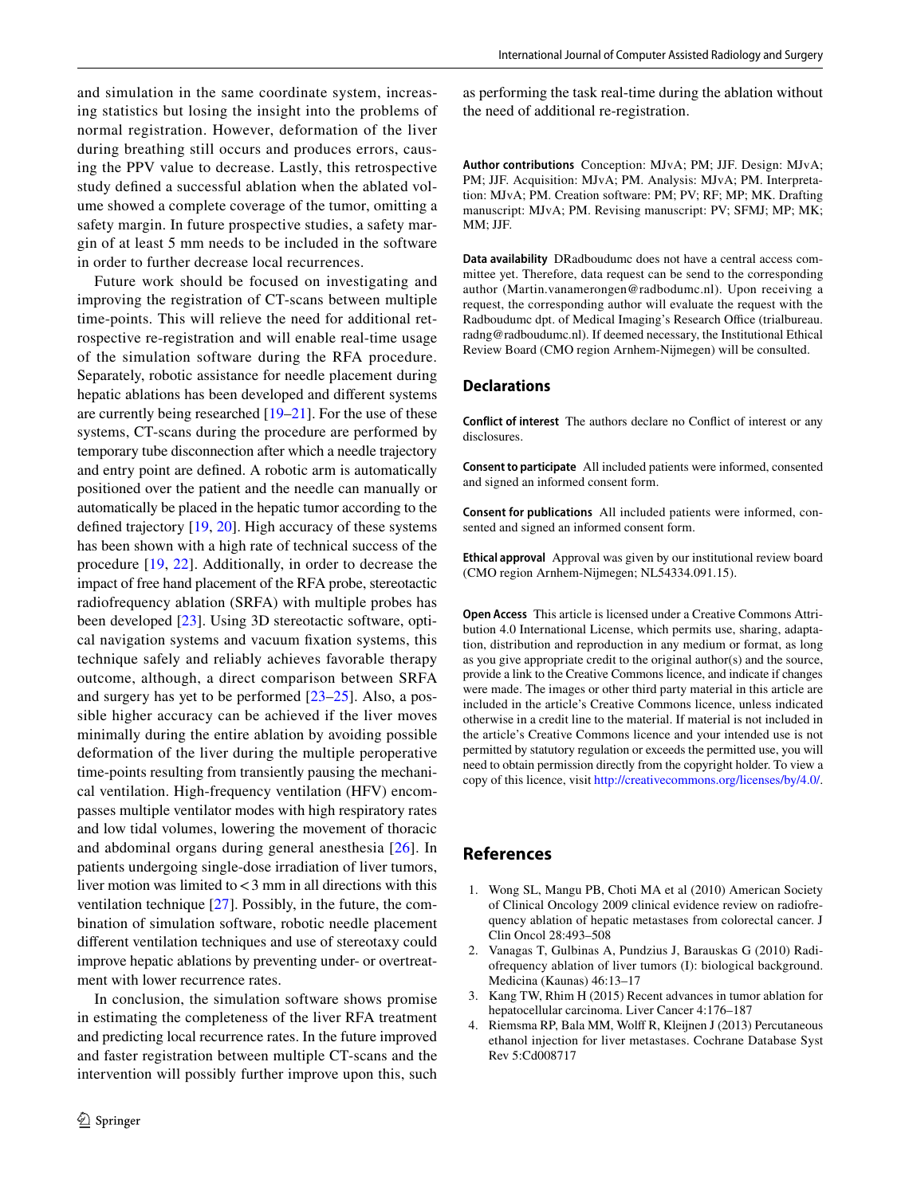and simulation in the same coordinate system, increasing statistics but losing the insight into the problems of normal registration. However, deformation of the liver during breathing still occurs and produces errors, causing the PPV value to decrease. Lastly, this retrospective study defned a successful ablation when the ablated volume showed a complete coverage of the tumor, omitting a safety margin. In future prospective studies, a safety margin of at least 5 mm needs to be included in the software in order to further decrease local recurrences.

Future work should be focused on investigating and improving the registration of CT-scans between multiple time-points. This will relieve the need for additional retrospective re-registration and will enable real-time usage of the simulation software during the RFA procedure. Separately, robotic assistance for needle placement during hepatic ablations has been developed and diferent systems are currently being researched [[19–](#page-7-13)[21\]](#page-7-14). For the use of these systems, CT-scans during the procedure are performed by temporary tube disconnection after which a needle trajectory and entry point are defned. A robotic arm is automatically positioned over the patient and the needle can manually or automatically be placed in the hepatic tumor according to the defned trajectory [\[19](#page-7-13), [20](#page-7-15)]. High accuracy of these systems has been shown with a high rate of technical success of the procedure [[19,](#page-7-13) [22\]](#page-7-16). Additionally, in order to decrease the impact of free hand placement of the RFA probe, stereotactic radiofrequency ablation (SRFA) with multiple probes has been developed [\[23](#page-7-17)]. Using 3D stereotactic software, optical navigation systems and vacuum fxation systems, this technique safely and reliably achieves favorable therapy outcome, although, a direct comparison between SRFA and surgery has yet to be performed [\[23–](#page-7-17)[25\]](#page-7-18). Also, a possible higher accuracy can be achieved if the liver moves minimally during the entire ablation by avoiding possible deformation of the liver during the multiple peroperative time-points resulting from transiently pausing the mechanical ventilation. High-frequency ventilation (HFV) encompasses multiple ventilator modes with high respiratory rates and low tidal volumes, lowering the movement of thoracic and abdominal organs during general anesthesia [[26](#page-7-19)]. In patients undergoing single-dose irradiation of liver tumors, liver motion was limited to  $<$  3 mm in all directions with this ventilation technique [[27\]](#page-7-20). Possibly, in the future, the combination of simulation software, robotic needle placement diferent ventilation techniques and use of stereotaxy could improve hepatic ablations by preventing under- or overtreatment with lower recurrence rates.

In conclusion, the simulation software shows promise in estimating the completeness of the liver RFA treatment and predicting local recurrence rates. In the future improved and faster registration between multiple CT-scans and the intervention will possibly further improve upon this, such as performing the task real-time during the ablation without the need of additional re-registration.

**Author contributions** Conception: MJvA; PM; JJF. Design: MJvA; PM; JJF. Acquisition: MJvA; PM. Analysis: MJvA; PM. Interpretation: MJvA; PM. Creation software: PM; PV; RF; MP; MK. Drafting manuscript: MJvA; PM. Revising manuscript: PV; SFMJ; MP; MK; MM; JJF.

**Data availability** DRadboudumc does not have a central access committee yet. Therefore, data request can be send to the corresponding author (Martin.vanamerongen@radbodumc.nl). Upon receiving a request, the corresponding author will evaluate the request with the Radboudumc dpt. of Medical Imaging's Research Office (trialbureau. radng@radboudumc.nl). If deemed necessary, the Institutional Ethical Review Board (CMO region Arnhem-Nijmegen) will be consulted.

# **Declarations**

**Conflict of interest** The authors declare no Confict of interest or any disclosures.

**Consent to participate** All included patients were informed, consented and signed an informed consent form.

**Consent for publications** All included patients were informed, consented and signed an informed consent form.

**Ethical approval** Approval was given by our institutional review board (CMO region Arnhem-Nijmegen; NL54334.091.15).

**Open Access** This article is licensed under a Creative Commons Attribution 4.0 International License, which permits use, sharing, adaptation, distribution and reproduction in any medium or format, as long as you give appropriate credit to the original author(s) and the source, provide a link to the Creative Commons licence, and indicate if changes were made. The images or other third party material in this article are included in the article's Creative Commons licence, unless indicated otherwise in a credit line to the material. If material is not included in the article's Creative Commons licence and your intended use is not permitted by statutory regulation or exceeds the permitted use, you will need to obtain permission directly from the copyright holder. To view a copy of this licence, visit<http://creativecommons.org/licenses/by/4.0/>.

## **References**

- <span id="page-6-0"></span>1. Wong SL, Mangu PB, Choti MA et al (2010) American Society of Clinical Oncology 2009 clinical evidence review on radiofrequency ablation of hepatic metastases from colorectal cancer. J Clin Oncol 28:493–508
- 2. Vanagas T, Gulbinas A, Pundzius J, Barauskas G (2010) Radiofrequency ablation of liver tumors (I): biological background. Medicina (Kaunas) 46:13–17
- 3. Kang TW, Rhim H (2015) Recent advances in tumor ablation for hepatocellular carcinoma. Liver Cancer 4:176–187
- 4. Riemsma RP, Bala MM, Wolf R, Kleijnen J (2013) Percutaneous ethanol injection for liver metastases. Cochrane Database Syst Rev 5:Cd008717